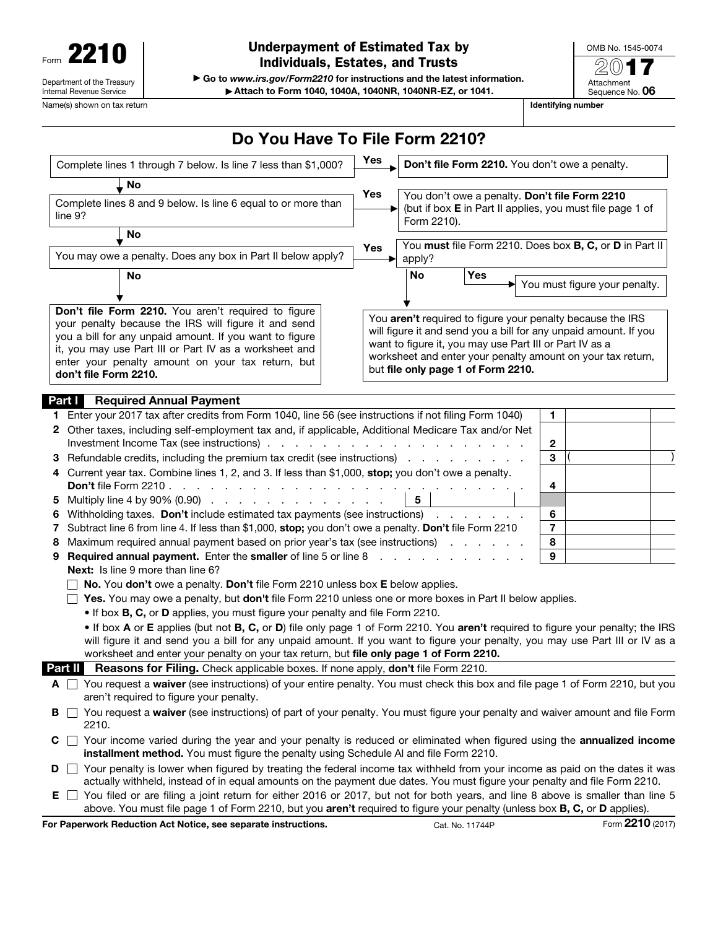| Form                                                   |  |  |  |  |  |  |
|--------------------------------------------------------|--|--|--|--|--|--|
| Department of the Treasury<br>Internal Revenue Service |  |  |  |  |  |  |

▶ Go to *www.irs.gov/Form2210* for instructions and the latest information. ▶ Attach to Form 1040, 1040A, 1040NR, 1040NR-EZ, or 1041.

OMB No. 1545-0074 2017 Attachment Sequence No. 06

Name(s) shown on tax return **Identifying number**  $\blacksquare$  **Identifying number**  $\blacksquare$  **Identifying number** 

|                                                                                                                                                                      |                                                                                                                                                                                                                                                                                                                | Do You Have To File Form 2210?                      |                                                                   |             |                                                                                               |                                                                                                                                                                                               |                  |
|----------------------------------------------------------------------------------------------------------------------------------------------------------------------|----------------------------------------------------------------------------------------------------------------------------------------------------------------------------------------------------------------------------------------------------------------------------------------------------------------|-----------------------------------------------------|-------------------------------------------------------------------|-------------|-----------------------------------------------------------------------------------------------|-----------------------------------------------------------------------------------------------------------------------------------------------------------------------------------------------|------------------|
| Complete lines 1 through 7 below. Is line 7 less than \$1,000?                                                                                                       |                                                                                                                                                                                                                                                                                                                | Yes                                                 | Don't file Form 2210. You don't owe a penalty.                    |             |                                                                                               |                                                                                                                                                                                               |                  |
|                                                                                                                                                                      | , No<br>Complete lines 8 and 9 below. Is line 6 equal to or more than<br>line 9?                                                                                                                                                                                                                               |                                                     | Yes<br>▶                                                          | Form 2210). |                                                                                               | You don't owe a penalty. Don't file Form 2210<br>(but if box E in Part II applies, you must file page 1 of                                                                                    |                  |
|                                                                                                                                                                      | No<br>You may owe a penalty. Does any box in Part II below apply?                                                                                                                                                                                                                                              | <b>Yes</b>                                          | You must file Form 2210. Does box B, C, or D in Part II<br>apply? |             |                                                                                               |                                                                                                                                                                                               |                  |
|                                                                                                                                                                      | <b>No</b>                                                                                                                                                                                                                                                                                                      |                                                     |                                                                   | No          | <b>Yes</b>                                                                                    | $\blacktriangleright$ You must figure your penalty.                                                                                                                                           |                  |
|                                                                                                                                                                      | Don't file Form 2210. You aren't required to figure<br>your penalty because the IRS will figure it and send<br>you a bill for any unpaid amount. If you want to figure<br>it, you may use Part III or Part IV as a worksheet and<br>enter your penalty amount on your tax return, but<br>don't file Form 2210. |                                                     |                                                                   |             | want to figure it, you may use Part III or Part IV as a<br>but file only page 1 of Form 2210. | You aren't required to figure your penalty because the IRS<br>will figure it and send you a bill for any unpaid amount. If you<br>worksheet and enter your penalty amount on your tax return, |                  |
|                                                                                                                                                                      | Part I<br><b>Required Annual Payment</b>                                                                                                                                                                                                                                                                       |                                                     |                                                                   |             |                                                                                               |                                                                                                                                                                                               |                  |
| 1.                                                                                                                                                                   | Enter your 2017 tax after credits from Form 1040, line 56 (see instructions if not filing Form 1040)                                                                                                                                                                                                           |                                                     |                                                                   |             |                                                                                               | $\mathbf{1}$                                                                                                                                                                                  |                  |
|                                                                                                                                                                      | 2 Other taxes, including self-employment tax and, if applicable, Additional Medicare Tax and/or Net<br>Investment Income Tax (see instructions).                                                                                                                                                               | and a series and a series and a series and a series |                                                                   |             |                                                                                               | $\boldsymbol{2}$                                                                                                                                                                              |                  |
| З<br>4                                                                                                                                                               | Refundable credits, including the premium tax credit (see instructions)                                                                                                                                                                                                                                        |                                                     |                                                                   |             |                                                                                               | 3                                                                                                                                                                                             |                  |
| Current year tax. Combine lines 1, 2, and 3. If less than \$1,000, stop; you don't owe a penalty.<br>Don't file Form 2210.<br>4<br>the company of the company of the |                                                                                                                                                                                                                                                                                                                |                                                     |                                                                   |             |                                                                                               |                                                                                                                                                                                               |                  |
| 5                                                                                                                                                                    | Multiply line 4 by 90% (0.90)                                                                                                                                                                                                                                                                                  |                                                     |                                                                   | 5           |                                                                                               |                                                                                                                                                                                               |                  |
| 6                                                                                                                                                                    | Withholding taxes. Don't include estimated tax payments (see instructions)                                                                                                                                                                                                                                     |                                                     |                                                                   |             |                                                                                               |                                                                                                                                                                                               |                  |
| Subtract line 6 from line 4. If less than \$1,000, stop; you don't owe a penalty. Don't file Form 2210<br>7                                                          |                                                                                                                                                                                                                                                                                                                |                                                     |                                                                   |             |                                                                                               | $\overline{7}$                                                                                                                                                                                |                  |
| Maximum required annual payment based on prior year's tax (see instructions)<br>8<br>8                                                                               |                                                                                                                                                                                                                                                                                                                |                                                     |                                                                   |             |                                                                                               |                                                                                                                                                                                               |                  |
| 9                                                                                                                                                                    | <b>Required annual payment.</b> Enter the smaller of line 5 or line 8                                                                                                                                                                                                                                          |                                                     |                                                                   |             |                                                                                               | 9                                                                                                                                                                                             |                  |
|                                                                                                                                                                      | <b>Next:</b> Is line 9 more than line 6?                                                                                                                                                                                                                                                                       |                                                     |                                                                   |             |                                                                                               |                                                                                                                                                                                               |                  |
|                                                                                                                                                                      | No. You don't owe a penalty. Don't file Form 2210 unless box E below applies.                                                                                                                                                                                                                                  |                                                     |                                                                   |             |                                                                                               |                                                                                                                                                                                               |                  |
|                                                                                                                                                                      | Yes. You may owe a penalty, but don't file Form 2210 unless one or more boxes in Part II below applies.                                                                                                                                                                                                        |                                                     |                                                                   |             |                                                                                               |                                                                                                                                                                                               |                  |
|                                                                                                                                                                      | . If box B, C, or D applies, you must figure your penalty and file Form 2210.                                                                                                                                                                                                                                  |                                                     |                                                                   |             |                                                                                               |                                                                                                                                                                                               |                  |
|                                                                                                                                                                      | . If box A or E applies (but not B, C, or D) file only page 1 of Form 2210. You aren't required to figure your penalty; the IRS                                                                                                                                                                                |                                                     |                                                                   |             |                                                                                               |                                                                                                                                                                                               |                  |
|                                                                                                                                                                      | will figure it and send you a bill for any unpaid amount. If you want to figure your penalty, you may use Part III or IV as a<br>worksheet and enter your penalty on your tax return, but file only page 1 of Form 2210.                                                                                       |                                                     |                                                                   |             |                                                                                               |                                                                                                                                                                                               |                  |
|                                                                                                                                                                      | Reasons for Filing. Check applicable boxes. If none apply, don't file Form 2210.<br>Part II                                                                                                                                                                                                                    |                                                     |                                                                   |             |                                                                                               |                                                                                                                                                                                               |                  |
|                                                                                                                                                                      | □ You request a waiver (see instructions) of your entire penalty. You must check this box and file page 1 of Form 2210, but you<br>A                                                                                                                                                                           |                                                     |                                                                   |             |                                                                                               |                                                                                                                                                                                               |                  |
|                                                                                                                                                                      | aren't required to figure your penalty.                                                                                                                                                                                                                                                                        |                                                     |                                                                   |             |                                                                                               |                                                                                                                                                                                               |                  |
| в                                                                                                                                                                    | You request a waiver (see instructions) of part of your penalty. You must figure your penalty and waiver amount and file Form<br>2210.                                                                                                                                                                         |                                                     |                                                                   |             |                                                                                               |                                                                                                                                                                                               |                  |
| С                                                                                                                                                                    | □ Your income varied during the year and your penalty is reduced or eliminated when figured using the <b>annualized income</b><br>installment method. You must figure the penalty using Schedule AI and file Form 2210.                                                                                        |                                                     |                                                                   |             |                                                                                               |                                                                                                                                                                                               |                  |
| D                                                                                                                                                                    | □ Your penalty is lower when figured by treating the federal income tax withheld from your income as paid on the dates it was                                                                                                                                                                                  |                                                     |                                                                   |             |                                                                                               |                                                                                                                                                                                               |                  |
|                                                                                                                                                                      | actually withheld, instead of in equal amounts on the payment due dates. You must figure your penalty and file Form 2210.<br>$E \Box$ You filed or are filing a joint return for either 2016 or 2017, but not for both years, and line 8 above is smaller than line 5                                          |                                                     |                                                                   |             |                                                                                               |                                                                                                                                                                                               |                  |
|                                                                                                                                                                      | above. You must file page 1 of Form 2210, but you aren't required to figure your penalty (unless box B, C, or D applies).                                                                                                                                                                                      |                                                     |                                                                   |             |                                                                                               |                                                                                                                                                                                               |                  |
|                                                                                                                                                                      | For Paperwork Reduction Act Notice, see separate instructions.                                                                                                                                                                                                                                                 |                                                     |                                                                   |             | Cat. No. 11744P                                                                               |                                                                                                                                                                                               | Form 2210 (2017) |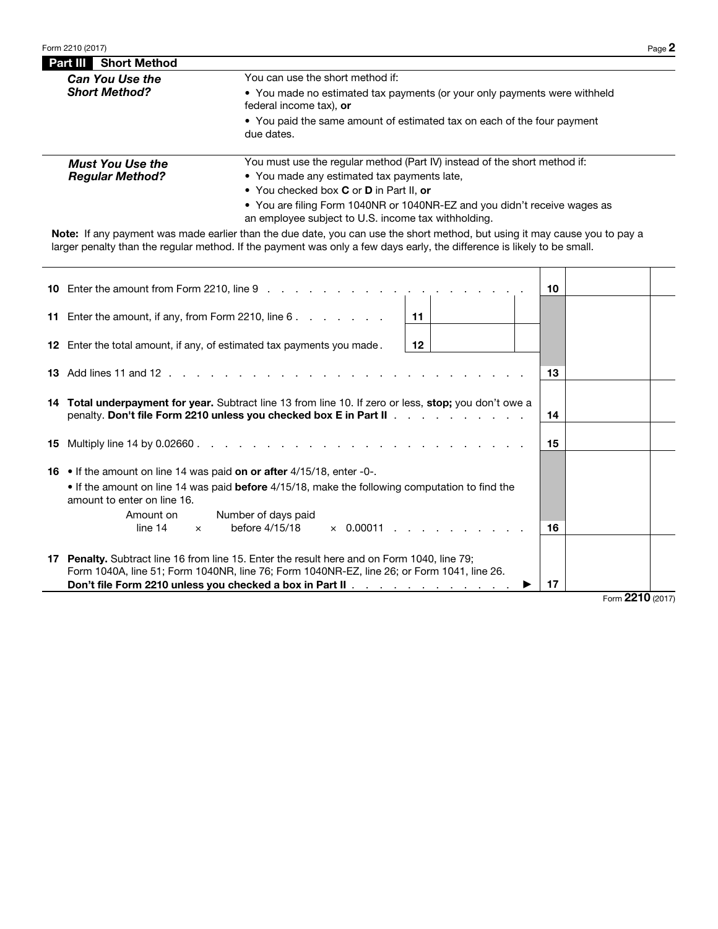| <b>Part III Short Method</b> |                                                                                                                                          |  |  |  |  |  |
|------------------------------|------------------------------------------------------------------------------------------------------------------------------------------|--|--|--|--|--|
| <b>Can You Use the</b>       | You can use the short method if:<br>• You made no estimated tax payments (or your only payments were withheld<br>federal income tax), or |  |  |  |  |  |
| <b>Short Method?</b>         |                                                                                                                                          |  |  |  |  |  |
|                              | • You paid the same amount of estimated tax on each of the four payment<br>due dates.                                                    |  |  |  |  |  |
| <b>Must You Use the</b>      | You must use the regular method (Part IV) instead of the short method if:                                                                |  |  |  |  |  |
| <b>Regular Method?</b>       | • You made any estimated tax payments late,                                                                                              |  |  |  |  |  |
|                              | • You checked box C or D in Part II, or                                                                                                  |  |  |  |  |  |

• You are filing Form 1040NR or 1040NR-EZ and you didn't receive wages as an employee subject to U.S. income tax withholding.

Note: If any payment was made earlier than the due date, you can use the short method, but using it may cause you to pay a larger penalty than the regular method. If the payment was only a few days early, the difference is likely to be small.

|    |                                                                                                                                                                                                                                                           | 10 |    |  |    |                  |  |
|----|-----------------------------------------------------------------------------------------------------------------------------------------------------------------------------------------------------------------------------------------------------------|----|----|--|----|------------------|--|
|    |                                                                                                                                                                                                                                                           |    |    |  |    |                  |  |
|    | 11 Enter the amount, if any, from Form 2210, line 6.                                                                                                                                                                                                      | 11 |    |  |    |                  |  |
|    | <b>12</b> Enter the total amount, if any, of estimated tax payments you made.                                                                                                                                                                             |    |    |  |    |                  |  |
|    |                                                                                                                                                                                                                                                           |    |    |  | 13 |                  |  |
|    | 14 Total underpayment for year. Subtract line 13 from line 10. If zero or less, stop; you don't owe a<br>penalty. Don't file Form 2210 unless you checked box E in Part II                                                                                |    | 14 |  |    |                  |  |
|    |                                                                                                                                                                                                                                                           |    | 15 |  |    |                  |  |
|    | <b>16</b> • If the amount on line 14 was paid on or after $4/15/18$ , enter -0-.<br>. If the amount on line 14 was paid before 4/15/18, make the following computation to find the<br>amount to enter on line 16.                                         |    |    |  |    |                  |  |
|    | Number of days paid<br>Amount on<br>before 4/15/18<br>line 14<br>$\times$ 0.00011<br>$\times$                                                                                                                                                             |    |    |  | 16 |                  |  |
| 17 | <b>Penalty.</b> Subtract line 16 from line 15. Enter the result here and on Form 1040, line 79;<br>Form 1040A, line 51; Form 1040NR, line 76; Form 1040NR-EZ, line 26; or Form 1041, line 26.<br>Don't file Form 2210 unless you checked a box in Part II |    | 17 |  |    |                  |  |
|    |                                                                                                                                                                                                                                                           |    |    |  |    | Form 2210 (2017) |  |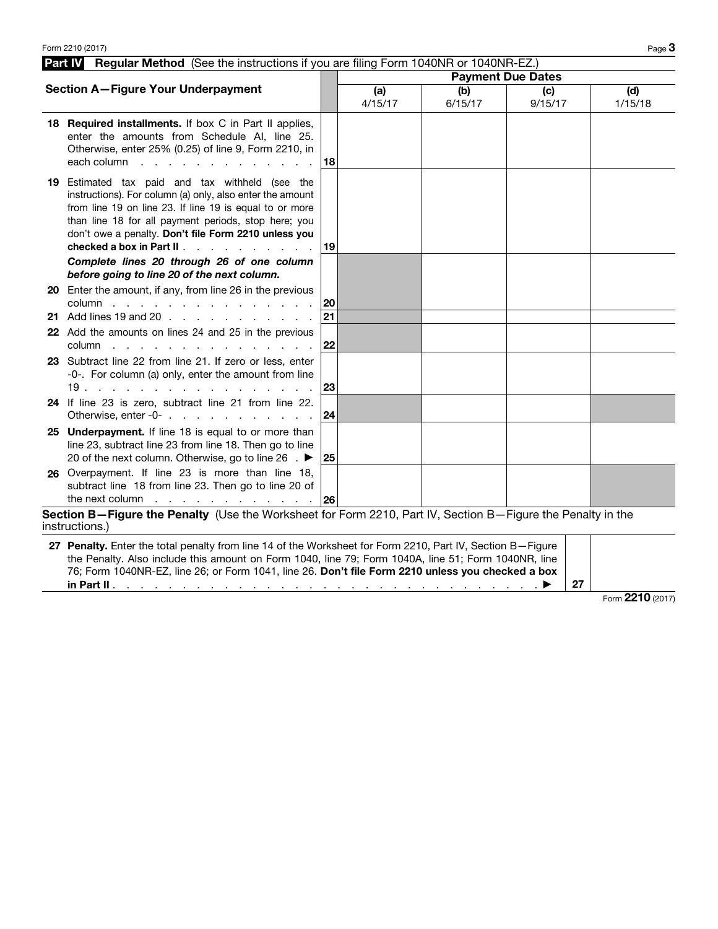| Part IV<br>Regular Method (See the instructions if you are filing Form 1040NR or 1040NR-EZ.)                                                                                                                                                                                                                                                              |    |                          |                |                |                |  |  |
|-----------------------------------------------------------------------------------------------------------------------------------------------------------------------------------------------------------------------------------------------------------------------------------------------------------------------------------------------------------|----|--------------------------|----------------|----------------|----------------|--|--|
|                                                                                                                                                                                                                                                                                                                                                           |    | <b>Payment Due Dates</b> |                |                |                |  |  |
| <b>Section A-Figure Your Underpayment</b>                                                                                                                                                                                                                                                                                                                 |    | (a)<br>4/15/17           | (b)<br>6/15/17 | (c)<br>9/15/17 | (d)<br>1/15/18 |  |  |
| 18 Required installments. If box C in Part II applies,<br>enter the amounts from Schedule AI, line 25.<br>Otherwise, enter 25% (0.25) of line 9, Form 2210, in<br>each column<br>the contract of the contract of the contract of the contract of the contract of the contract of the contract of                                                          | 18 |                          |                |                |                |  |  |
| 19 Estimated tax paid and tax withheld (see the<br>instructions). For column (a) only, also enter the amount<br>from line 19 on line 23. If line 19 is equal to or more<br>than line 18 for all payment periods, stop here; you<br>don't owe a penalty. Don't file Form 2210 unless you<br>checked a box in Part II.<br>and the company of the company of | 19 |                          |                |                |                |  |  |
| Complete lines 20 through 26 of one column                                                                                                                                                                                                                                                                                                                |    |                          |                |                |                |  |  |
| before going to line 20 of the next column.<br>20 Enter the amount, if any, from line 26 in the previous<br>column                                                                                                                                                                                                                                        | 20 |                          |                |                |                |  |  |
| 21 Add lines 19 and 20                                                                                                                                                                                                                                                                                                                                    | 21 |                          |                |                |                |  |  |
| 22 Add the amounts on lines 24 and 25 in the previous<br>column<br>design and contract the contract of the contract of the contract of the contract of the contract of the contract of                                                                                                                                                                    | 22 |                          |                |                |                |  |  |
| 23 Subtract line 22 from line 21. If zero or less, enter<br>-0-. For column (a) only, enter the amount from line<br>19.                                                                                                                                                                                                                                   | 23 |                          |                |                |                |  |  |
| 24 If line 23 is zero, subtract line 21 from line 22.<br>Otherwise, enter -0-                                                                                                                                                                                                                                                                             | 24 |                          |                |                |                |  |  |
| 25 Underpayment. If line 18 is equal to or more than<br>line 23, subtract line 23 from line 18. Then go to line<br>20 of the next column. Otherwise, go to line 26 . ▶                                                                                                                                                                                    | 25 |                          |                |                |                |  |  |
| 26 Overpayment. If line 23 is more than line 18,<br>subtract line 18 from line 23. Then go to line 20 of<br>the next column $\cdots$ $\cdots$ $\cdots$ $\cdots$ $\cdots$ $\vert$ 26                                                                                                                                                                       |    |                          |                |                |                |  |  |
| Section B-Figure the Penalty (Use the Worksheet for Form 2210, Part IV, Section B-Figure the Penalty in the<br>instructions.)                                                                                                                                                                                                                             |    |                          |                |                |                |  |  |
| 27 Penalty. Enter the total penalty from line 14 of the Worksheet for Form 2210, Part IV, Section B-Figure                                                                                                                                                                                                                                                |    |                          |                |                |                |  |  |

the Penalty. Also include this amount on Form 1040, line 79; Form 1040A, line 51; Form 1040NR, line 76; Form 1040NR-EZ, line 26; or Form 1041, line 26. Don't file Form 2210 unless you checked a box in Part II . . . . . . . . . . . . . . . . . . . . . . . . . . . . . . . ▶ 27

Form **2210** (2017)